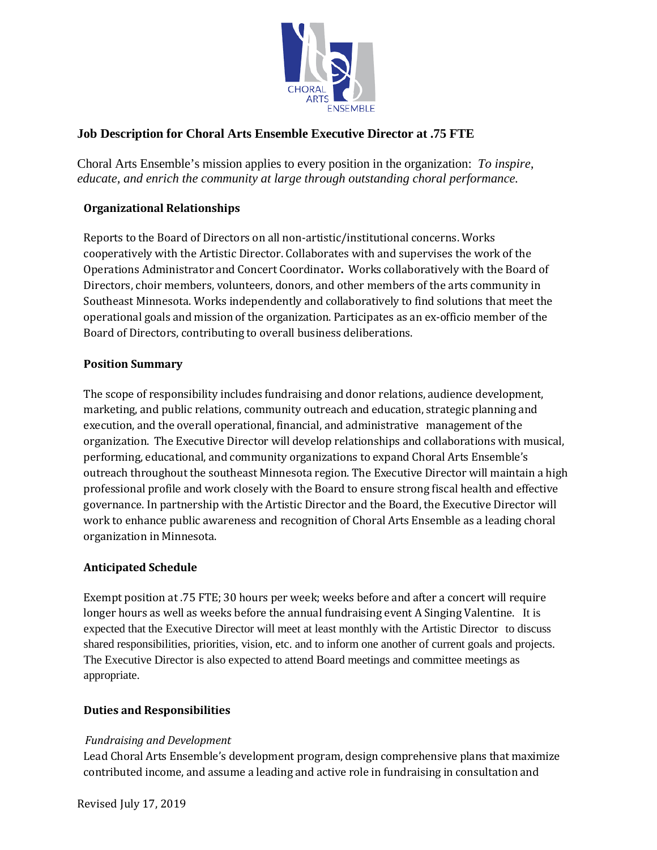

# **Job Description for Choral Arts Ensemble Executive Director at .75 FTE**

Choral Arts Ensemble's mission applies to every position in the organization: *To inspire, educate, and enrich the community at large through outstanding choral performance.*

## **Organizational Relationships**

Reports to the Board of Directors on all non-artistic/institutional concerns. Works cooperatively with the Artistic Director. Collaborates with and supervises the work of the Operations Administrator and Concert Coordinator**.** Works collaboratively with the Board of Directors, choir members, volunteers, donors, and other members of the arts community in Southeast Minnesota. Works independently and collaboratively to find solutions that meet the operational goals and mission of the organization. Participates as an ex-officio member of the Board of Directors, contributing to overall business deliberations.

### **Position Summary**

The scope of responsibility includes fundraising and donor relations, audience development, marketing, and public relations, community outreach and education, strategic planning and execution, and the overall operational, financial, and administrative management of the organization. The Executive Director will develop relationships and collaborations with musical, performing, educational, and community organizations to expand Choral Arts Ensemble's outreach throughout the southeast Minnesota region. The Executive Director will maintain a high professional profile and work closely with the Board to ensure strong fiscal health and effective governance. In partnership with the Artistic Director and the Board, the Executive Director will work to enhance public awareness and recognition of Choral Arts Ensemble as a leading choral organization in Minnesota.

### **Anticipated Schedule**

Exempt position at .75 FTE; 30 hours per week; weeks before and after a concert will require longer hours as well as weeks before the annual fundraising event A Singing Valentine. It is expected that the Executive Director will meet at least monthly with the Artistic Director to discuss shared responsibilities, priorities, vision, etc. and to inform one another of current goals and projects. The Executive Director is also expected to attend Board meetings and committee meetings as appropriate.

## **Duties and Responsibilities**

### *Fundraising and Development*

Lead Choral Arts Ensemble's development program, design comprehensive plans that maximize contributed income, and assume a leading and active role in fundraising in consultation and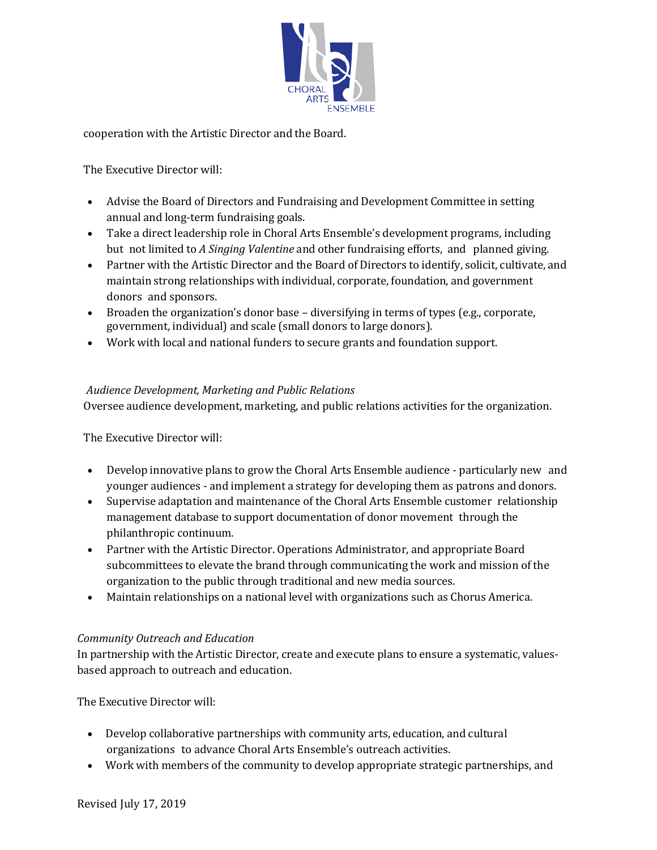

cooperation with the Artistic Director and the Board.

The Executive Director will:

- Advise the Board of Directors and Fundraising and Development Committee in setting annual and long-term fundraising goals.
- Take a direct leadership role in Choral Arts Ensemble's development programs, including but not limited to *A Singing Valentine* and other fundraising efforts, and planned giving.
- Partner with the Artistic Director and the Board of Directors to identify, solicit, cultivate, and maintain strong relationships with individual, corporate, foundation, and government donors and sponsors.
- Broaden the organization's donor base diversifying in terms of types (e.g., corporate, government, individual) and scale (small donors to large donors).
- Work with local and national funders to secure grants and foundation support.

## *Audience Development, Marketing and Public Relations*

Oversee audience development, marketing, and public relations activities for the organization.

The Executive Director will:

- Develop innovative plans to grow the Choral Arts Ensemble audience particularly new and younger audiences - and implement a strategy for developing them as patrons and donors.
- Supervise adaptation and maintenance of the Choral Arts Ensemble customer relationship management database to support documentation of donor movement through the philanthropic continuum.
- Partner with the Artistic Director. Operations Administrator, and appropriate Board subcommittees to elevate the brand through communicating the work and mission of the organization to the public through traditional and new media sources.
- Maintain relationships on a national level with organizations such as Chorus America.

### *Community Outreach and Education*

In partnership with the Artistic Director, create and execute plans to ensure a systematic, valuesbased approach to outreach and education.

The Executive Director will:

- Develop collaborative partnerships with community arts, education, and cultural organizations to advance Choral Arts Ensemble's outreach activities.
- Work with members of the community to develop appropriate strategic partnerships, and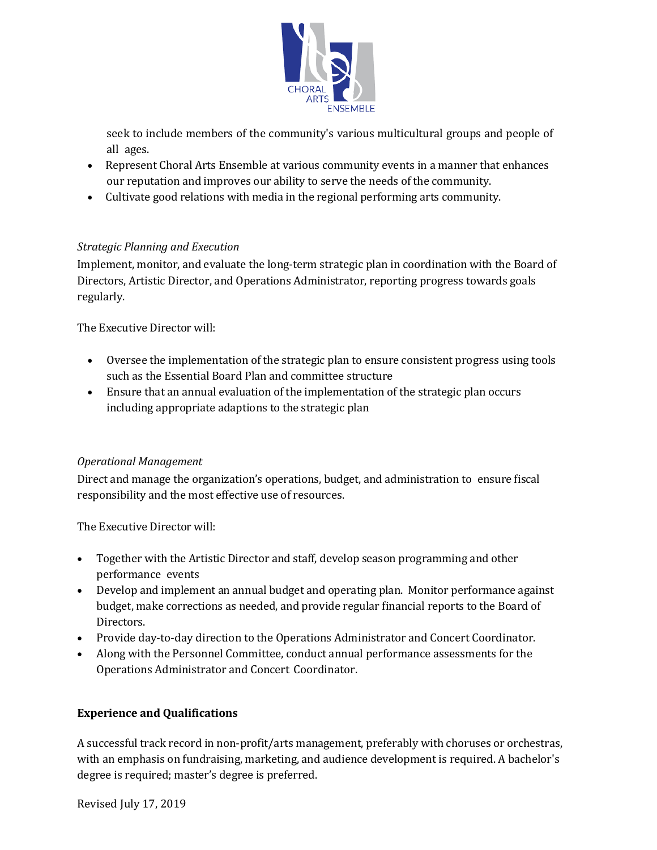

seek to include members of the community's various multicultural groups and people of all ages.

- Represent Choral Arts Ensemble at various community events in a manner that enhances our reputation and improves our ability to serve the needs of the community.
- Cultivate good relations with media in the regional performing arts community.

## *Strategic Planning and Execution*

Implement, monitor, and evaluate the long-term strategic plan in coordination with the Board of Directors, Artistic Director, and Operations Administrator, reporting progress towards goals regularly.

The Executive Director will:

- Oversee the implementation of the strategic plan to ensure consistent progress using tools such as the Essential Board Plan and committee structure
- Ensure that an annual evaluation of the implementation of the strategic plan occurs including appropriate adaptions to the strategic plan

### *Operational Management*

Direct and manage the organization's operations, budget, and administration to ensure fiscal responsibility and the most effective use of resources.

The Executive Director will:

- Together with the Artistic Director and staff, develop season programming and other performance events
- Develop and implement an annual budget and operating plan. Monitor performance against budget, make corrections as needed, and provide regular financial reports to the Board of Directors.
- Provide day-to-day direction to the Operations Administrator and Concert Coordinator.
- Along with the Personnel Committee, conduct annual performance assessments for the Operations Administrator and Concert Coordinator.

## **Experience and Qualifications**

A successful track record in non-profit/arts management, preferably with choruses or orchestras, with an emphasis on fundraising, marketing, and audience development is required. A bachelor's degree is required; master's degree is preferred.

Revised July 17, 2019